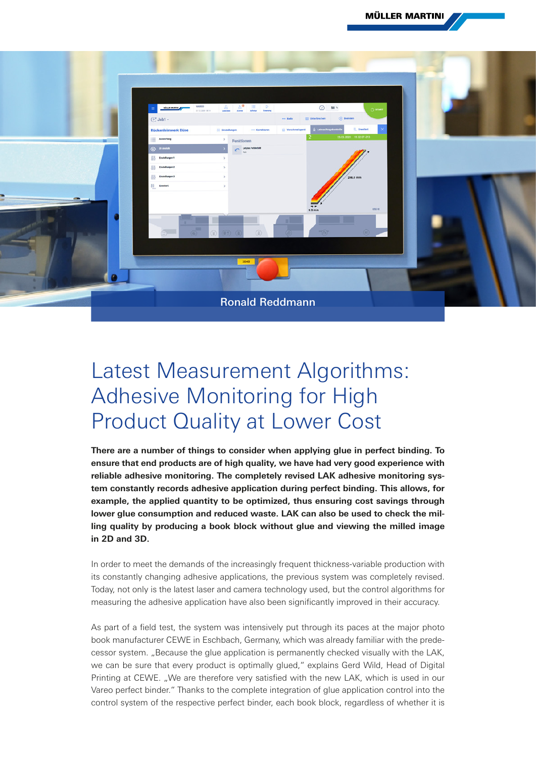

## Latest Measurement Algorithms: Adhesive Monitoring for High Product Quality at Lower Cost

**There are a number of things to consider when applying glue in perfect binding. To ensure that end products are of high quality, we have had very good experience with reliable adhesive monitoring. The completely revised LAK adhesive monitoring system constantly records adhesive application during perfect binding. This allows, for example, the applied quantity to be optimized, thus ensuring cost savings through lower glue consumption and reduced waste. LAK can also be used to check the milling quality by producing a book block without glue and viewing the milled image in 2D and 3D.**

In order to meet the demands of the increasingly frequent thickness-variable production with its constantly changing adhesive applications, the previous system was completely revised. Today, not only is the latest laser and camera technology used, but the control algorithms for measuring the adhesive application have also been significantly improved in their accuracy.

As part of a field test, the system was intensively put through its paces at the major photo book manufacturer CEWE in Eschbach, Germany, which was already familiar with the predecessor system. "Because the glue application is permanently checked visually with the LAK, we can be sure that every product is optimally glued," explains Gerd Wild, Head of Digital Printing at CEWE. ..We are therefore very satisfied with the new LAK, which is used in our Vareo perfect binder." Thanks to the complete integration of glue application control into the control system of the respective perfect binder, each book block, regardless of whether it is